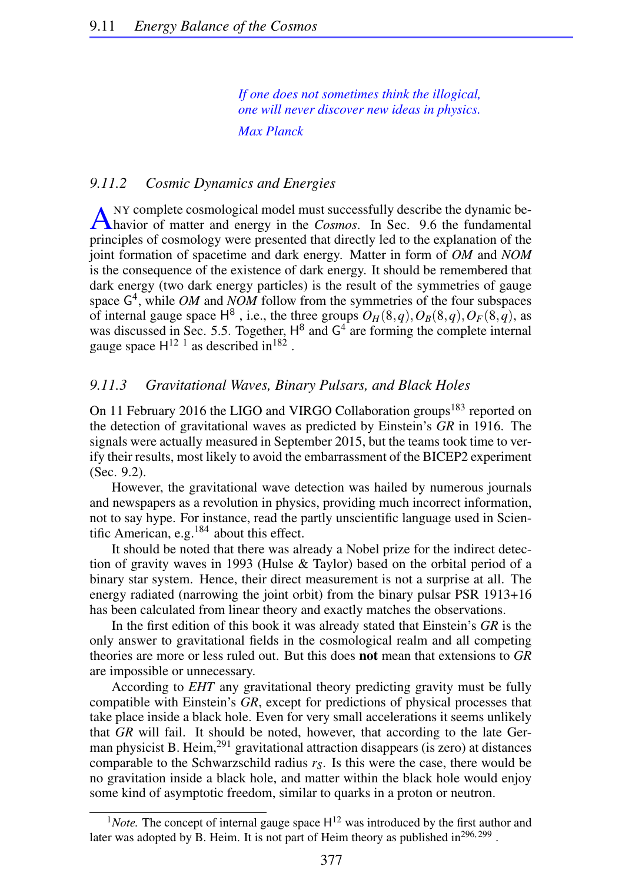*If one does not sometimes think the illogical, one will never discover new ideas in physics. Max Planck*

## *9.11.2 Cosmic Dynamics and Energies*

A <sup>NY</sup> complete cosmological model must successfully describe the dynamic behavior of matter and energy in the *Cosmos*. In Sec. 9.6 the fundamental NY complete cosmological model must successfully describe the dynamic beprinciples of cosmology were presented that directly led to the explanation of the joint formation of spacetime and dark energy. Matter in form of *OM* and *NOM* is the consequence of the existence of dark energy. It should be remembered that dark energy (two dark energy particles) is the result of the symmetries of gauge space  $G<sup>4</sup>$ , while *OM* and *NOM* follow from the symmetries of the four subspaces of internal gauge space  $H^8$ , i.e., the three groups  $O_H(8,q), O_B(8,q), O_F(8,q)$ , as was discussed in Sec. 5.5. Together,  $H^8$  and  $G^4$  are forming the complete internal gauge space  $H^{12}$ <sup>1</sup> as described in<sup>182</sup>.

## *9.11.3 Gravitational Waves, Binary Pulsars, and Black Holes*

On 11 February 2016 the LIGO and VIRGO Collaboration groups<sup>183</sup> reported on the detection of gravitational waves as predicted by Einstein's *GR* in 1916. The signals were actually measured in September 2015, but the teams took time to verify their results, most likely to avoid the embarrassment of the BICEP2 experiment (Sec. 9.2).

However, the gravitational wave detection was hailed by numerous journals and newspapers as a revolution in physics, providing much incorrect information, not to say hype. For instance, read the partly unscientific language used in Scientific American, e.g.184 about this effect.

It should be noted that there was already a Nobel prize for the indirect detection of gravity waves in 1993 (Hulse & Taylor) based on the orbital period of a binary star system. Hence, their direct measurement is not a surprise at all. The energy radiated (narrowing the joint orbit) from the binary pulsar PSR 1913+16 has been calculated from linear theory and exactly matches the observations.

In the first edition of this book it was already stated that Einstein's *GR* is the only answer to gravitational fields in the cosmological realm and all competing theories are more or less ruled out. But this does not mean that extensions to *GR* are impossible or unnecessary.

According to *EHT* any gravitational theory predicting gravity must be fully compatible with Einstein's *GR*, except for predictions of physical processes that take place inside a black hole. Even for very small accelerations it seems unlikely that *GR* will fail. It should be noted, however, that according to the late German physicist B. Heim, $^{291}$  gravitational attraction disappears (is zero) at distances comparable to the Schwarzschild radius *rS*. Is this were the case, there would be no gravitation inside a black hole, and matter within the black hole would enjoy some kind of asymptotic freedom, similar to quarks in a proton or neutron.

 $1$ *Note*. The concept of internal gauge space  $H^{12}$  was introduced by the first author and later was adopted by B. Heim. It is not part of Heim theory as published in $^{296,299}$ .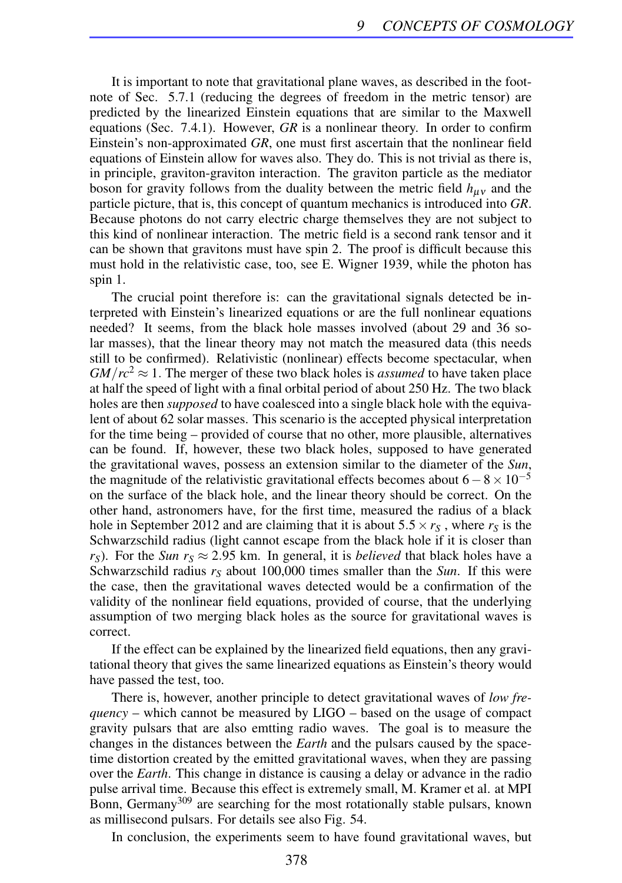It is important to note that gravitational plane waves, as described in the footnote of Sec. 5.7.1 (reducing the degrees of freedom in the metric tensor) are predicted by the linearized Einstein equations that are similar to the Maxwell equations (Sec. 7.4.1). However, *GR* is a nonlinear theory. In order to confirm Einstein's non-approximated *GR*, one must first ascertain that the nonlinear field equations of Einstein allow for waves also. They do. This is not trivial as there is, in principle, graviton-graviton interaction. The graviton particle as the mediator boson for gravity follows from the duality between the metric field  $h_{\mu\nu}$  and the particle picture, that is, this concept of quantum mechanics is introduced into *GR*. Because photons do not carry electric charge themselves they are not subject to this kind of nonlinear interaction. The metric field is a second rank tensor and it can be shown that gravitons must have spin 2. The proof is difficult because this must hold in the relativistic case, too, see E. Wigner 1939, while the photon has spin 1.

The crucial point therefore is: can the gravitational signals detected be interpreted with Einstein's linearized equations or are the full nonlinear equations needed? It seems, from the black hole masses involved (about 29 and 36 solar masses), that the linear theory may not match the measured data (this needs still to be confirmed). Relativistic (nonlinear) effects become spectacular, when  $GM/rc^2 \approx 1$ . The merger of these two black holes is *assumed* to have taken place at half the speed of light with a final orbital period of about 250 Hz. The two black holes are then *supposed* to have coalesced into a single black hole with the equivalent of about 62 solar masses. This scenario is the accepted physical interpretation for the time being – provided of course that no other, more plausible, alternatives can be found. If, however, these two black holes, supposed to have generated the gravitational waves, possess an extension similar to the diameter of the *Sun*, the magnitude of the relativistic gravitational effects becomes about  $6-8\times10^{-5}$ on the surface of the black hole, and the linear theory should be correct. On the other hand, astronomers have, for the first time, measured the radius of a black hole in September 2012 and are claiming that it is about  $5.5 \times r_s$ , where  $r_s$  is the Schwarzschild radius (light cannot escape from the black hole if it is closer than  $r<sub>S</sub>$ ). For the *Sun r<sub>S</sub>*  $\approx$  2.95 km. In general, it is *believed* that black holes have a Schwarzschild radius *r<sup>S</sup>* about 100,000 times smaller than the *Sun*. If this were the case, then the gravitational waves detected would be a confirmation of the validity of the nonlinear field equations, provided of course, that the underlying assumption of two merging black holes as the source for gravitational waves is correct.

If the effect can be explained by the linearized field equations, then any gravitational theory that gives the same linearized equations as Einstein's theory would have passed the test, too.

There is, however, another principle to detect gravitational waves of *low frequency* – which cannot be measured by LIGO – based on the usage of compact gravity pulsars that are also emtting radio waves. The goal is to measure the changes in the distances between the *Earth* and the pulsars caused by the spacetime distortion created by the emitted gravitational waves, when they are passing over the *Earth*. This change in distance is causing a delay or advance in the radio pulse arrival time. Because this effect is extremely small, M. Kramer et al. at MPI Bonn, Germany<sup>309</sup> are searching for the most rotationally stable pulsars, known as millisecond pulsars. For details see also Fig. 54.

In conclusion, the experiments seem to have found gravitational waves, but